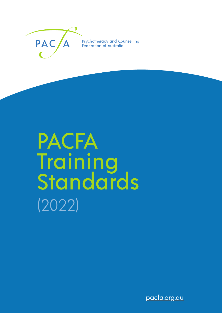

Psychotherapy and Counselling Federation of Australia

# PACFA **Training Standards** (2022)

pacfa.org.au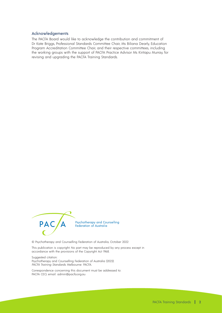#### Acknowledgements

The PACFA Board would like to acknowledge the contribution and commitment of Dr Kate Briggs, Professional Standards Committee Chair, Ms Biliana Dearly, Education Program Accreditation Committee Chair, and their respective committees, including the working groups with the support of PACFA Practice Advisor Ms Kiritapu Murray, for revising and upgrading the PACFA Training Standards.



© Psychotherapy and Counselling Federation of Australia, October 2022

This publication is copyright. No part may be reproduced by any process except in accordance with the provisions of the Copyright Act 1968.

Suggested citation:

Psychotherapy and Counselling Federation of Australia (2022). PACFA Training Standards. Melbourne: PACFA.

Correspondence concerning this document must be addressed to: PACFA CEO, email: admin@pacfa.org.au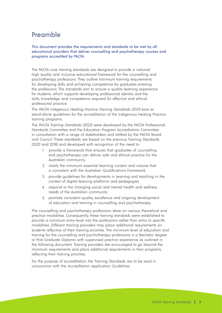# Preamble

This document provides the requirements and standards to be met by all educational providers that deliver counselling and psychotherapy courses and programs accredited by PACFA.

The PACFA core training standards are designed to provide a national high quality and inclusive educational framework for the counselling and psychotherapy professions. They outline minimum training requirements for developing skills and achieving competence by graduates entering the professions. The standards aim to ensure a quality learning experience for students, which supports developing professional identity and the skills, knowledge, and competence required for effective and ethical professional practice.

The PACFA Indigenous Healing Practice Training Standards (2021) exist as stand-alone guidelines for the accreditation of the Indigenous Healing Practice training programs.

The PACFA Training Standards (2022) were developed by the PACFA Professional Standards Committee and the Education Program Accreditation Committee in consultation with a range of stakeholders and ratified by the PACFA Board and Council. These standards are based on the previous Training Standards (2020 and 2018) and developed with recognition of the need to:

- provide a framework that ensures that graduates of counselling and psychotherapy can deliver safe and ethical practice for the Australian community.
- 2. clarify the minimum essential learning content and volume that is consistent with the Australian Qualifications Framework
- 3. provide guidelines for developments in learning and teaching in the context of digital learning platforms and pedagogies
- 4. respond to the changing social and mental health and wellness needs of the Australian community
- 5. promote consistent quality, excellence and ongoing development of education and training in counselling and psychotherapy.

The counselling and psychotherapy professions draw on various theoretical and practice modalities. Consequently, these training standards were established to provide a minimum entry-level into the professions rather than entry to specific modalities. Different training providers may place additional requirements on students reflective of their training priorities. The minimum level of education and training for the counselling and psychotherapy professions is a Bachelor degree or Post Graduate Diploma with supervised practice experience as outlined in the following document. Training providers are encouraged to go beyond the minimum requirements and place additional requirements in their programs, reflecting their training priorities.

For the purpose of accreditation, the Training Standards are to be read in conjunction with the Accreditation Application Guidelines.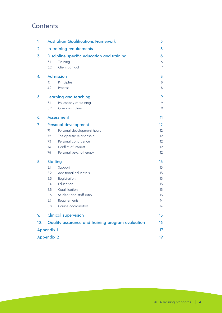# **Contents**

| 1.                | <b>Australian Qualifications Framework</b> |                                                   | 5                 |
|-------------------|--------------------------------------------|---------------------------------------------------|-------------------|
| 2.                | In-training requirements                   |                                                   | 5                 |
| 3.                | Discipline-specific education and training |                                                   | 6                 |
|                   | 3.1<br>Training                            |                                                   | 6                 |
|                   | 3.2                                        | Client contact                                    | 7                 |
| 4.                | Admission                                  |                                                   | 8                 |
|                   | 4.1                                        | Principles                                        | 8                 |
|                   | 4.2                                        | Process                                           | 8                 |
| 5.                | Learning and teaching                      |                                                   | 9                 |
|                   | 5.1                                        | Philosophy of training                            | 9                 |
|                   | 5.2                                        | Core curriculum                                   | 9                 |
| 6.                |                                            | <b>Assessment</b>                                 | 11                |
| 7.                | Personal development                       |                                                   | 12                |
|                   | 71                                         | Personal development hours                        | 12                |
|                   | 7.2                                        | Therapeutic relationship                          | 12 <sup>°</sup>   |
|                   | 7.3                                        | Personal congruence                               | 12 <sup>°</sup>   |
|                   | 7.4                                        | Conflict of interest                              | 12 <sup>°</sup>   |
|                   | 7.5                                        | Personal psychotherapy                            | $12 \overline{ }$ |
| 8.                | <b>Staffing</b>                            |                                                   | 13                |
|                   | 8.1                                        | Support                                           | 13                |
|                   | 8.2                                        | Additional educators                              | 13                |
|                   | 8.3                                        | Registration                                      | 13                |
|                   | 8.4                                        | Education                                         | 13                |
|                   | 8.5                                        | Qualification                                     | 13                |
|                   | 8.6                                        | Student and staff ratio                           | 13                |
|                   | 8.7                                        | Requirements                                      | 14                |
|                   | 8.8                                        | Course coordinators                               | 14                |
| 9.                | <b>Clinical supervision</b>                |                                                   | 15                |
| 10.               |                                            | Quality assurance and training program evaluation | 16                |
| <b>Appendix 1</b> |                                            |                                                   | 17                |
| <b>Appendix 2</b> |                                            |                                                   | 19                |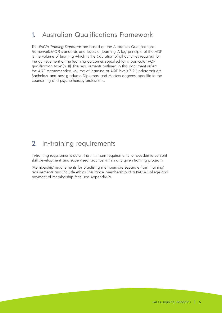# 1. Australian Qualifications Framework

The PACFA Training Standards are based on the Australian Qualifications Framework (AQF) standards and levels of learning. A key principle of the AQF is the volume of learning which is the "…duration of all activities required for the achievement of the learning outcomes specified for a particular AQF qualification type" (p. 11). The requirements outlined in this document reflect the AQF recommended volume of learning at AQF levels 7–9 (undergraduate Bachelors, and post-graduate Diplomas, and Masters degrees), specific to the counselling and psychotherapy professions.

# 2. In-training requirements

In-training requirements detail the minimum requirements for academic content, skill development, and supervised practice within any given training program.

"Membership" requirements for practising members are separate from "training" requirements and include ethics, insurance, membership of a PACFA College and payment of membership fees (see Appendix 2).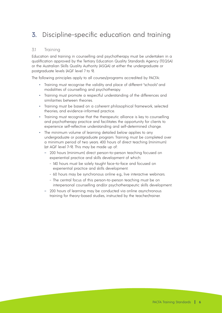# 3. Discipline-specific education and training

## 3.1 Training

Education and training in counselling and psychotherapy must be undertaken in a qualification approved by the Tertiary Education Quality Standards Agency (TEQSA) or the Australian Skills Quality Authority (ASQA) at either the undergraduate or postgraduate levels (AQF level 7 to 9).

The following principles apply to all courses/programs accredited by PACFA:

- Training must recognise the validity and place of different "schools" and modalities of counselling and psychotherapy.
- Training must promote a respectful understanding of the differences and similarities between theories.
- Training must be based on a coherent philosophical framework, selected theories, and evidence-informed practice.
- Training must recognise that the therapeutic alliance is key to counselling and psychotherapy practice and facilitates the opportunity for clients to experience self-reflective understanding and self-determined change.
- The minimum volume of learning detailed below applies to any undergraduate or postgraduate program. Training must be completed over a minimum period of two years. 400 hours of direct teaching (minimum) (at AQF level 7–9). This may be made up of:
	- 200 hours (minimum) direct person-to-person teaching focused on experiential practice and skills development of which:
		- 140 hours must be solely taught face-to-face and focused on experiential practice and skills development.
		- 60 hours may be synchronous online e.g., live interactive webinars.
		- The central focus of this person-to-person teaching must be on interpersonal counselling and/or psychotherapeutic skills development.
	- 200 hours of learning may be conducted via online asynchronous training for theory-based studies, instructed by the teacher/trainer.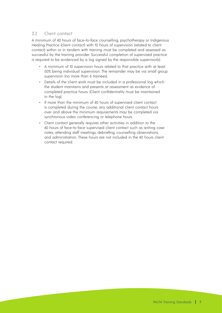# 3.2 Client contact

A minimum of 40 hours of face-to-face counselling, psychotherapy or Indigenous Healing Practice (client contact) with 10 hours of supervision (related to client contact) within or in tandem with training must be completed and assessed as successful by the training provider. Successful completion of supervised practice is required to be evidenced by a log signed by the responsible supervisor(s).

- A minimum of 10 supervision hours related to that practice with at least 50% being individual supervision. The remainder may be via small group supervision (no more than 6 trainees).
- Details of the client work must be included in a professional log which the student maintains and presents at assessment as evidence of completed practice hours. (Client confidentiality must be maintained in the log).
- If more than the minimum of 40 hours of supervised client contact is completed during the course, any additional client contact hours over and above the minimum requirements may be completed via synchronous video conferencing or telephone hours.
- Client contact generally requires other activities in addition to the 40 hours of face-to-face supervised client contact such as writing case notes, attending staff meetings, debriefing, counselling observations, and administration. These hours are not included in the 40 hours client contact required.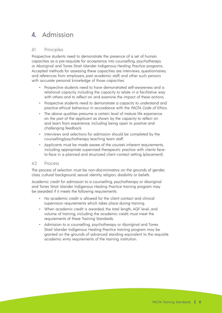# 4. Admission

## 4.1 Principles

Prospective students need to demonstrate the presence of a set of human capacities as a pre-requisite for acceptance into counselling, psychotherapy or Aboriginal and Torres Strait Islander Indigenous Healing Practice programs. Accepted methods for assessing these capacities are interviews, questionnaires, and references from employers, past academic staff, and other such persons with accurate personal knowledge of those capacities:

- Prospective students need to have demonstrated self-awareness and a relational capacity, including the capacity to relate in a facilitative way with others and to reflect on and examine the impact of these actions.
- Prospective students need to demonstrate a capacity to understand and practice ethical behaviour in accordance with the PACFA Code of Ethics.
- The above qualities presume a certain level of mature life experience on the part of the applicant as shown by the capacity to reflect on and learn from experience, including being open to positive and challenging feedback.
- Interviews and selections for admission should be completed by the counselling/psychotherapy teaching team staff.
- Applicants must be made aware of the course's inherent requirements, including appropriate supervised therapeutic practice with clients faceto-face in a planned and structured client contact setting (placement).

#### 4.2 Process

The process of selection must be non-discriminatory on the grounds of gender, class, cultural background, sexual identity, religion, disability or beliefs.

Academic credit for admission to a counselling, psychotherapy or Aboriginal and Torres Strait Islander Indigenous Healing Practice training program may be awarded if it meets the following requirements:

- No academic credit is allowed for the client contact and clinical supervision requirements which takes place during training.
- When academic credit is awarded, the total length, AQF level, and volume of training, including the academic credit, must meet the requirements of these Training Standards.
- Admission to a counselling, psychotherapy or Aboriginal and Torres Strait Islander Indigenous Healing Practice training program may be granted on the grounds of advanced standing equivalent to the requisite academic entry requirements of the training institution.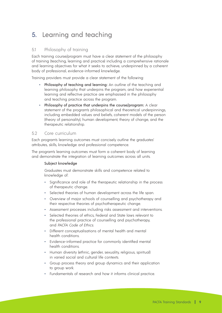# 5. Learning and teaching

# 5.1 Philosophy of training

Each training course/program must have a clear statement of the philosophy of training (teaching, learning and practice) including a comprehensive rationale and learning objectives for what it seeks to achieve, underpinned by a coherent body of professional, evidence-informed knowledge.

Training providers must provide a clear statement of the following:

- Philosophy of teaching and learning: An outline of the teaching and learning philosophy that underpins the program, and how experiential learning and reflective practice are emphasised in the philosophy and teaching practice across the program.
- Philosophy of practice that underpins the course/program: A clear statement of the program's philosophical and theoretical underpinnings, including embedded values and beliefs, coherent models of the person (theory of personality), human development, theory of change, and the therapeutic relationship.

#### 5.2 Core curriculum

Each program's learning outcomes must concisely outline the graduates' attributes, skills, knowledge and professional competence.

The program's learning outcomes must form a coherent body of learning and demonstrate the integration of learning outcomes across all units.

#### Subject knowledge

Graduates must demonstrate skills and competence related to knowledge of:

- Significance and role of the therapeutic relationship in the process of therapeutic change.
- Selected theories of human development across the life span.
- Overview of major schools of counselling and psychotherapy and their respective theories of psychotherapeutic change.
- Assessment processes including risks assessment and interventions.
- Selected theories of ethics, Federal and State laws relevant to the professional practice of counselling and psychotherapy, and PACFA Code of Ethics.
- Different conceptualisations of mental health and mental health conditions.
- Evidence-informed practice for commonly identified mental health conditions.
- Human diversity lethnic, gender, sexuality, religious, spiritual) in varied social and cultural life contexts.
- Group process theory and group dynamics and their application to group work.
- Fundamentals of research and how it informs clinical practice.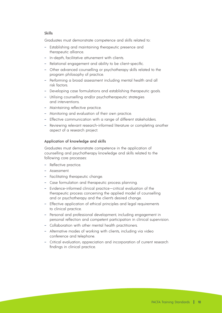#### Skills

Graduates must demonstrate competence and skills related to:

- Establishing and maintaining therapeutic presence and therapeutic alliance.
- In-depth, facilitative attunement with clients.
- Relational engagement and ability to be client-specific.
- Other advanced counselling or psychotherapy skills related to the program philosophy of practice.
- Performing a broad assessment including mental health and all risk factors.
- Developing case formulations and establishing therapeutic goals.
- Utilising counselling and/or psychotherapeutic strategies and interventions.
- Maintaining reflective practice.
- Monitoring and evaluation of their own practice.
- Effective communication with a range of different stakeholders.
- Reviewing relevant research-informed literature or completing another aspect of a research project.

#### Application of knowledge and skills

 Graduates must demonstrate competence in the application of counselling and psychotherapy knowledge and skills related to the following core processes:

- Reflective practice.
- Assessment.
- Facilitating therapeutic change.
- Case formulation and therapeutic process planning.
- Evidence-informed clinical practice—critical evaluation of the therapeutic process concerning the applied model of counselling and or psychotherapy and the client's desired change.
- Effective application of ethical principles and legal requirements to clinical practice.
- Personal and professional development, including engagement in personal reflection and competent participation in clinical supervision.
- Collaboration with other mental health practitioners.
- Alternative modes of working with clients, including via video conference and telephone.
- Critical evaluation, appreciation and incorporation of current research findings in clinical practice.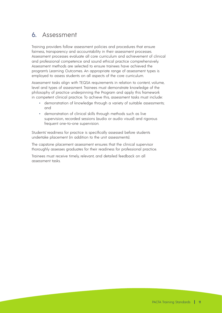# 6. Assessment

Training providers follow assessment policies and procedures that ensure fairness, transparency and accountability in their assessment processes. Assessment processes evaluate all core curriculum and achievement of clinical and professional competence and sound ethical practice comprehensively. Assessment methods are selected to ensure trainees have achieved the program's Learning Outcomes. An appropriate range of assessment types is employed to assess students on all aspects of the core curriculum.

Assessment tasks align with TEQSA requirements in relation to content, volume, level and types of assessment. Trainees must demonstrate knowledge of the philosophy of practice underpinning the Program and apply this framework in competent clinical practice. To achieve this, assessment tasks must include:

- demonstration of knowledge through a variety of suitable assessments; and
- demonstration of clinical skills through methods such as live supervision, recorded sessions (audio or audio visual) and rigorous frequent one-to-one supervision.

Students' readiness for practice is specifically assessed before students undertake placement (in addition to the unit assessments).

The capstone placement assessment ensures that the clinical supervisor thoroughly assesses graduates for their readiness for professional practice.

Trainees must receive timely, relevant, and detailed feedback on all assessment tasks.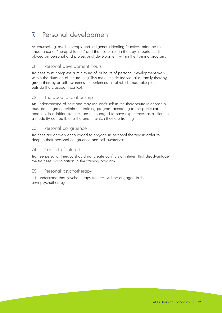# 7. Personal development

As counselling, psychotherapy and Indigenous Healing Practices prioritise the importance of "therapist factors" and the use of self in therapy, importance is placed on personal and professional development within the training program.

# 7.1 Personal development hours

Trainees must complete a minimum of 20 hours of personal development work within the duration of the training. This may include individual or family therapy, group therapy or self-awareness experiences, all of which must take place outside the classroom context.

## 7.2 Therapeutic relationship

An understanding of how one may use one's self in the therapeutic relationship must be integrated within the training program according to the particular modality. In addition, trainees are encouraged to have experiences as a client in a modality compatible to the one in which they are training.

## 7.3 Personal congruence

Trainees are actively encouraged to engage in personal therapy in order to deepen their personal congruence and self-awareness.

## 74 Conflict of interest

Trainee personal therapy should not create conflicts of interest that disadvantage the trainee's participation in the training program.

## 7.5 Personal psychotherapy

It is understood that psychotherapy trainees will be engaged in their own psychotherapy.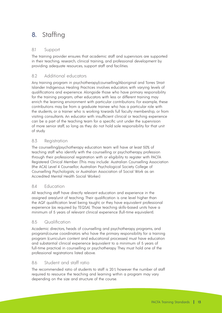# 8. Staffing

# 8.1 Support

The training provider ensures that academic staff and supervisors are supported in their teaching, research, clinical training, and professional development by providing adequate resources, support staff and facilities.

# 8.2 Additional educators

Any training program in psychotherapy/counselling/Aboriginal and Torres Strait Islander Indigenous Healing Practices involves educators with varying levels of qualifications and experience. Alongside those who have primary responsibility for the training program, other educators with less or different training may enrich the learning environment with particular contributions. For example, these contributions may be from a graduate trainee who has a particular role with the students, or a trainer who is working towards full faculty membership, or from visiting consultants. An educator with insufficient clinical or teaching experience can be a part of the teaching team for a specific unit under the supervision of more senior staff, so long as they do not hold sole responsibility for that unit of study.

# 8.3 Registration

The counselling/psychotherapy education team will have at least 50% of teaching staff who identify with the counselling or psychotherapy profession through their professional registration with or eligibility to register with PACFA Registered Clinical Member. (This may include: Australian Counselling Association (the ACA) Level 4 Counsellor; Australian Psychological Society College of Counselling Psychologists; or Australian Association of Social Work as an Accredited Mental Health Social Worker.)

# 8.4 Education

All teaching staff have directly relevant education and experience in the assigned area/unit of teaching. Their qualification is one level higher than the AQF qualification level being taught, or they have equivalent professional experience (as required by TEQSA). Those teaching skills-based units have a minimum of 5 years of relevant clinical experience (full-time equivalent).

# 8.5 Qualification

Academic directors, heads of counselling and psychotherapy programs, and program/course coordinators who have the primary responsibility for a training program (curriculum content and educational processes) must have education and substantial clinical experience (equivalent to a minimum of 5 years of full-time practice) in counselling or psychotherapy. They must hold one of the professional registrations listed above.

# 8.6 Student and staff ratio

The recommended ratio of students to staff is 20:1, however the number of staff required to resource the teaching and learning within a program may vary depending on the size and structure of the course.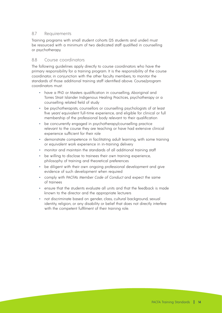## 8.7 Requirements

Training programs with small student cohorts (25 students and under) must be resourced with a minimum of two dedicated staff qualified in counselling or psychotherapy.

### 8.8 Course coordinators

The following guidelines apply directly to course coordinators who have the primary responsibility for a training program. It is the responsibility of the course coordinator, in conjunction with the other faculty members, to monitor the standards of those additional training staff identified above. Course/program coordinators must:

- have a PhD or Masters qualification in counselling, Aboriginal and Torres Strait Islander Indigenous Healing Practices, psychotherapy or a counselling related field of study
- be psychotherapists, counsellors or counselling psychologists of at least five years' equivalent full-time experience, and eligible for clinical or full membership of the professional body relevant to their qualification
- be concurrently engaged in psychotherapy/counselling practice relevant to the course they are teaching or have had extensive clinical experience sufficient for their role
- demonstrate competence in facilitating adult learning, with some training or equivalent work experience in in-training delivery
- monitor and maintain the standards of all additional training staff
- be willing to disclose to trainees their own training experience, philosophy of training and theoretical preferences
- be diligent with their own ongoing professional development and give evidence of such development when required
- comply with PACFA's Member Code of Conduct and expect the same of trainees
- ensure that the students evaluate all units and that the feedback is made known to the director and the appropriate lecturers
- not discriminate based on gender, class, cultural background, sexual identity, religion, or any disability or belief that does not directly interfere with the competent fulfilment of their training role.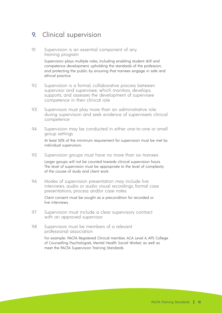# 9. Clinical supervision

9.1 Supervision is an essential component of any training program

> Supervision plays multiple roles, including enabling student skill and competence development, upholding the standards of the profession, and protecting the public by ensuring that trainees engage in safe and ethical practice.

- 9.2 Supervision is a formal, collaborative process between supervisor and supervisee, which monitors, develops, supports, and assesses the development of supervisee competence in their clinical role
- 9.3 Supervisors must play more than an administrative role during supervision and seek evidence of supervisee's clinical competence
- 9.4 Supervision may be conducted in either one-to-one or small group settings At least 50% of the minimum requirement for supervision must be met by individual supervision..
- 9.5 Supervision groups must have no more than six trainees Larger groups will not be counted towards clinical supervision hours. The level of supervision must be appropriate to the level of complexity of the course of study and client work.
- 9.6 Modes of supervision presentation may include live interviews, audio or audio visual recordings, formal case presentations, process and/or case notes Client consent must be sought as a precondition for recorded or live interviews.
- 9.7 Supervision must include a clear supervisory contract with an approved supervisor
- 9.8 Supervisors must be members of a relevant professional association

For example: PACFA Registered Clinical member, ACA Level 4, APS College of Counselling Psychologists, Mental Health Social Worker; as well as meet the PACFA Supervision Training Standards.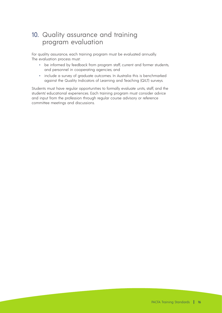# 10. Quality assurance and training program evaluation

For quality assurance, each training program must be evaluated annually. The evaluation process must:

- be informed by feedback from program staff, current and former students, and personnel in cooperating agencies; and
- include a survey of araduate outcomes. In Australia this is benchmarked against the Quality Indicators of Learning and Teaching (QILT) surveys.

Students must have regular opportunities to formally evaluate units, staff, and the students' educational experiences. Each training program must consider advice and input from the profession through regular course advisory or reference committee meetings and discussions.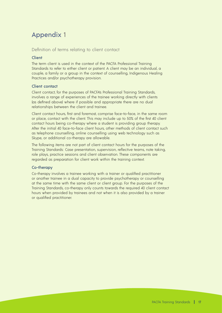# Appendix 1

#### Definition of terms relating to client contact

#### Client

The term client is used in the context of the PACFA Professional Training Standards to refer to either client or patient. A client may be an individual, a couple, a family or a group in the context of counselling, Indigenous Healing Practices and/or psychotherapy provision.

#### Client contact

Client contact, for the purposes of PACFA's Professional Training Standards, involves a range of experiences of the trainee working directly with clients (as defined above) where if possible and appropriate there are no dual relationships between the client and trainee.

Client contact hours, first and foremost, comprise face-to-face, in the same room or place, contact with the client. This may include up to 50% of the first 40 client contact hours being co-therapy where a student is providing group therapy. After the initial 40 face-to-face client hours, other methods of client contact such as telephone counselling, online counselling using web technology such as Skype, or additional co-therapy are allowable.

The following items are not part of client contact hours for the purposes of the Training Standards: Case presentation, supervision, reflective teams, note taking, role plays, practice sessions and client observation. These components are regarded as preparation for client work within the training context.

#### Co-therapy

Co-therapy involves a trainee working with a trainer or qualified practitioner or another trainee in a dual capacity to provide psychotherapy or counselling at the same time with the same client or client group. For the purposes of the Training Standards, co-therapy only counts towards the required 40 client contact hours when provided by trainees and not when it is also provided by a trainer or qualified practitioner.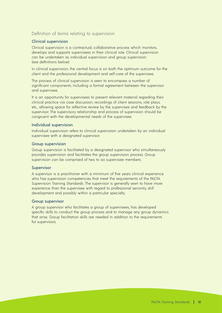## Definition of terms relating to supervision

#### Clinical supervision

Clinical supervision is a contractual, collaborative process which monitors, develops and supports supervisees in their clinical role. Clinical supervision can be undertaken as individual supervision and group supervision (see definitions below).

In clinical supervision, the central focus is on both the optimum outcome for the client and the professional development and self-care of the supervisee.

The process of clinical supervision is seen to encompass a number of significant components, including a formal agreement between the supervisor and supervisee.

It is an opportunity for supervisees to present relevant material regarding their clinical practice via case discussion, recordings of client sessions, role plays, etc., allowing space for reflective review by the supervisee and feedback by the supervisor. The supervisory relationship and process of supervision should be congruent with the developmental needs of the supervisee.

#### Individual supervision

Individual supervision refers to clinical supervision undertaken by an individual supervisee with a designated supervisor.

#### Group supervision

Group supervision is facilitated by a designated supervisor who simultaneously provides supervision and facilitates the group supervision process. Group supervision can be comprised of two to six supervisee members.

#### Supervisor

A supervisor is a practitioner with a minimum of five years clinical experience who has supervision competencies that meet the requirements of the PACFA Supervision Training Standards. The supervisor is generally seen to have more experience than the supervisee with regard to professional seniority, skill development and possibly within a particular specialty.

#### Group supervisor

A group supervisor who facilitates a group of supervisees, has developed specific skills to conduct the group process and to manage any group dynamics that arise. Group facilitation skills are needed in addition to the requirements for supervisors.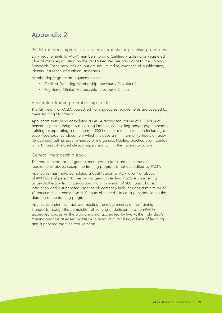# Appendix 2

## PACFA membership/registration requirements for practising members

Entry requirements to PACFA membership as a Certified Practising or Registered Clinical member, or listing on the PACFA Register, are additional to the Training Standards. These may include, but are not limited to, evidence of qualification, identity, insurance and ethical standards.

Membership/registration requirements for:

- Certified Practising Membership (previously Provisional)
- Registered Clinical Membership (previously Clinical).

# Accredited training membership track

The full details of PACFA accredited training course requirements are covered by these Training Standards.

Applicants must have completed a PACFA accredited course of 400 hours of person-to-person Indigenous Healing Practice, counselling and/or psychotherapy training incorporating a minimum of 200 hours of direct instruction including a supervised practice placement which includes a minimum of 40 hours of faceto-face counselling, psychotherapy or Indigenous Healing practice client contact with 10 hours of related clinical supervision within the training program.

## General membership track

The requirements for the general membership track are the same as the requirements above, except the training program is not accredited by PACFA.

Applicants must have completed a qualification at AQF level 7 or above of 400 hours of person-to-person Indigenous Healing Practice, counselling or psychotherapy training incorporating a minimum of 200 hours of direct instruction and a supervised practice placement which includes a minimum of 40 hours of client contact with 10 hours of related clinical supervision within the duration of the training program.

Applicants under this track are meeting the requirements of the Training Standards through the completion of training undertaken in a non-PACFA accredited course. As the program is not accredited by PACFA, the individual's training must be assessed by PACFA in terms of curriculum, volume of learning and supervised practice requirements.